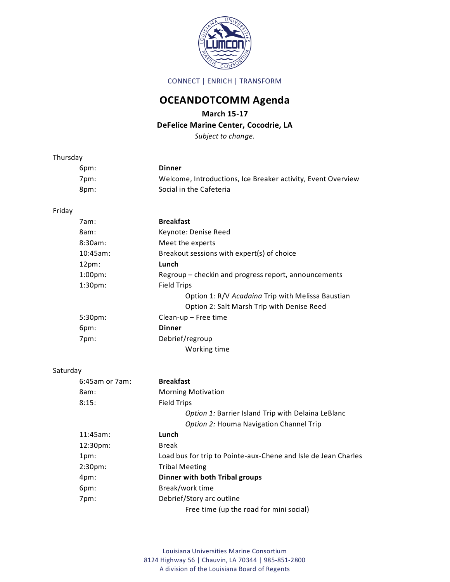

CONNECT | ENRICH | TRANSFORM

## **OCEANDOTCOMM Agenda**

## **March 15-17**

## **DeFelice Marine Center, Cocodrie, LA**

*Subject to change.*

| Thursday |                |                                                                |
|----------|----------------|----------------------------------------------------------------|
|          | 6pm:           | <b>Dinner</b>                                                  |
|          | 7pm:           | Welcome, Introductions, Ice Breaker activity, Event Overview   |
|          | 8pm:           | Social in the Cafeteria                                        |
| Friday   |                |                                                                |
|          | 7am:           | <b>Breakfast</b>                                               |
|          | 8am:           | Keynote: Denise Reed                                           |
|          | 8:30am:        | Meet the experts                                               |
|          | $10:45am$ :    | Breakout sessions with expert(s) of choice                     |
|          | $12pm$ :       | Lunch                                                          |
|          | $1:00pm$ :     | Regroup - checkin and progress report, announcements           |
|          | 1:30pm:        | <b>Field Trips</b>                                             |
|          |                | Option 1: R/V Acadaina Trip with Melissa Baustian              |
|          |                | Option 2: Salt Marsh Trip with Denise Reed                     |
|          | 5:30pm:        | Clean-up - Free time                                           |
|          | 6pm:           | <b>Dinner</b>                                                  |
|          | 7pm:           | Debrief/regroup                                                |
|          |                | Working time                                                   |
| Saturday |                |                                                                |
|          | 6:45am or 7am: | <b>Breakfast</b>                                               |
|          | 8am:           | <b>Morning Motivation</b>                                      |
|          | 8:15:          | <b>Field Trips</b>                                             |
|          |                | Option 1: Barrier Island Trip with Delaina LeBlanc             |
|          |                | Option 2: Houma Navigation Channel Trip                        |
|          | 11:45am:       | Lunch                                                          |
|          | 12:30pm:       | <b>Break</b>                                                   |
|          | 1pm:           | Load bus for trip to Pointe-aux-Chene and Isle de Jean Charles |
|          | 2:30pm:        | <b>Tribal Meeting</b>                                          |
|          | 4pm:           | Dinner with both Tribal groups                                 |
|          | 6pm:           | Break/work time                                                |
|          | 7pm:           | Debrief/Story arc outline                                      |
|          |                | Free time (up the road for mini social)                        |